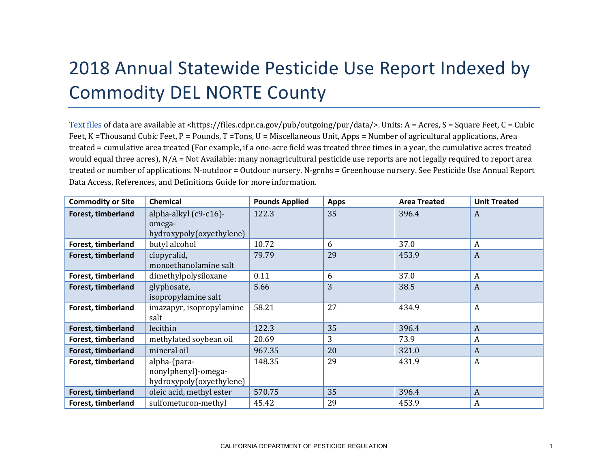## 2018 Annual Statewide Pesticide Use Report Indexed by Commodity DEL NORTE County

[Text files](https://files.cdpr.ca.gov/pub/outgoing/pur/data/) of data are available at <https://files.cdpr.ca.gov/pub/outgoing/pur/data/>. Units: A = Acres, S = Square Feet, C = Cubic Feet, K = Thousand Cubic Feet, P = Pounds, T = Tons, U = Miscellaneous Unit, Apps = Number of agricultural applications, Area treated = cumulative area treated (For example, if a one-acre field was treated three times in a year, the cumulative acres treated would equal three acres), N/A = Not Available: many nonagricultural pesticide use reports are not legally required to report area treated or number of applications. N-outdoor = Outdoor nursery. N-grnhs = Greenhouse nursery. See Pesticide Use Annual Report Data Access, References, and Definitions Guide for more information.

| <b>Commodity or Site</b> | <b>Chemical</b>                                                 | <b>Pounds Applied</b> | <b>Apps</b> | <b>Area Treated</b> | <b>Unit Treated</b> |
|--------------------------|-----------------------------------------------------------------|-----------------------|-------------|---------------------|---------------------|
| Forest, timberland       | alpha-alkyl (c9-c16)-<br>omega-<br>hydroxypoly(oxyethylene)     | 122.3                 | 35          | 396.4               | $\boldsymbol{A}$    |
| Forest, timberland       | butyl alcohol                                                   | 10.72                 | 6           | 37.0                | $\boldsymbol{A}$    |
| Forest, timberland       | clopyralid,<br>monoethanolamine salt                            | 79.79                 | 29          | 453.9               | $\boldsymbol{A}$    |
| Forest, timberland       | dimethylpolysiloxane                                            | 0.11                  | 6           | 37.0                | $\overline{A}$      |
| Forest, timberland       | glyphosate,<br>isopropylamine salt                              | 5.66                  | 3           | 38.5                | $\overline{A}$      |
| Forest, timberland       | imazapyr, isopropylamine<br>salt                                | 58.21                 | 27          | 434.9               | $\overline{A}$      |
| Forest, timberland       | lecithin                                                        | 122.3                 | 35          | 396.4               | $\boldsymbol{A}$    |
| Forest, timberland       | methylated soybean oil                                          | 20.69                 | 3           | 73.9                | $\boldsymbol{A}$    |
| Forest, timberland       | mineral oil                                                     | 967.35                | 20          | 321.0               | $\boldsymbol{A}$    |
| Forest, timberland       | alpha-(para-<br>nonylphenyl)-omega-<br>hydroxypoly(oxyethylene) | 148.35                | 29          | 431.9               | $\boldsymbol{A}$    |
| Forest, timberland       | oleic acid, methyl ester                                        | 570.75                | 35          | 396.4               | $\overline{A}$      |
| Forest, timberland       | sulfometuron-methyl                                             | 45.42                 | 29          | 453.9               | $\boldsymbol{A}$    |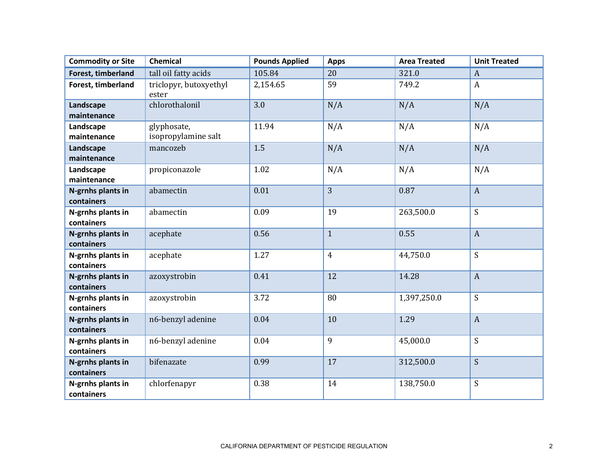| <b>Commodity or Site</b>        | Chemical                           | <b>Pounds Applied</b> | <b>Apps</b>    | <b>Area Treated</b> | <b>Unit Treated</b> |
|---------------------------------|------------------------------------|-----------------------|----------------|---------------------|---------------------|
| Forest, timberland              | tall oil fatty acids               | 105.84                | 20             | 321.0               | $\boldsymbol{A}$    |
| Forest, timberland              | triclopyr, butoxyethyl<br>ester    | 2,154.65              | 59             | 749.2               | $\boldsymbol{A}$    |
| Landscape<br>maintenance        | chlorothalonil                     | 3.0                   | N/A            | N/A                 | N/A                 |
| Landscape<br>maintenance        | glyphosate,<br>isopropylamine salt | 11.94                 | N/A            | N/A                 | N/A                 |
| Landscape<br>maintenance        | mancozeb                           | 1.5                   | N/A            | N/A                 | N/A                 |
| Landscape<br>maintenance        | propiconazole                      | 1.02                  | N/A            | N/A                 | N/A                 |
| N-grnhs plants in<br>containers | abamectin                          | 0.01                  | 3              | 0.87                | $\boldsymbol{A}$    |
| N-grnhs plants in<br>containers | abamectin                          | 0.09                  | 19             | 263,500.0           | S                   |
| N-grnhs plants in<br>containers | acephate                           | 0.56                  | $\mathbf{1}$   | 0.55                | $\boldsymbol{A}$    |
| N-grnhs plants in<br>containers | acephate                           | 1.27                  | $\overline{4}$ | 44,750.0            | S                   |
| N-grnhs plants in<br>containers | azoxystrobin                       | 0.41                  | 12             | 14.28               | $\boldsymbol{A}$    |
| N-grnhs plants in<br>containers | azoxystrobin                       | 3.72                  | 80             | 1,397,250.0         | S                   |
| N-grnhs plants in<br>containers | n6-benzyl adenine                  | 0.04                  | 10             | 1.29                | $\overline{A}$      |
| N-grnhs plants in<br>containers | n6-benzyl adenine                  | 0.04                  | 9              | 45,000.0            | S                   |
| N-grnhs plants in<br>containers | bifenazate                         | 0.99                  | 17             | 312,500.0           | S                   |
| N-grnhs plants in<br>containers | chlorfenapyr                       | 0.38                  | 14             | 138,750.0           | S                   |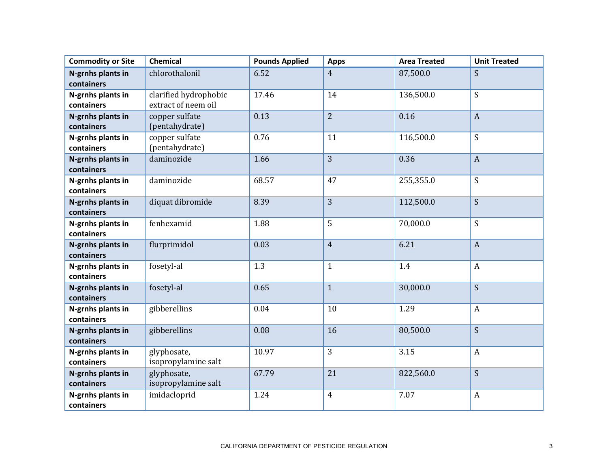| <b>Commodity or Site</b>        | <b>Chemical</b>                              | <b>Pounds Applied</b> | <b>Apps</b>    | <b>Area Treated</b> | <b>Unit Treated</b> |
|---------------------------------|----------------------------------------------|-----------------------|----------------|---------------------|---------------------|
| N-grnhs plants in<br>containers | chlorothalonil                               | 6.52                  | $\overline{4}$ | 87,500.0            | S                   |
| N-grnhs plants in<br>containers | clarified hydrophobic<br>extract of neem oil | 17.46                 | 14             | 136,500.0           | S                   |
| N-grnhs plants in<br>containers | copper sulfate<br>(pentahydrate)             | 0.13                  | $\overline{2}$ | 0.16                | $\boldsymbol{A}$    |
| N-grnhs plants in<br>containers | copper sulfate<br>(pentahydrate)             | 0.76                  | 11             | 116,500.0           | S                   |
| N-grnhs plants in<br>containers | daminozide                                   | 1.66                  | 3              | 0.36                | $\mathbf{A}$        |
| N-grnhs plants in<br>containers | daminozide                                   | 68.57                 | 47             | 255,355.0           | S                   |
| N-grnhs plants in<br>containers | diquat dibromide                             | 8.39                  | 3              | 112,500.0           | S                   |
| N-grnhs plants in<br>containers | fenhexamid                                   | 1.88                  | 5              | 70,000.0            | S                   |
| N-grnhs plants in<br>containers | flurprimidol                                 | 0.03                  | $\overline{4}$ | 6.21                | $\boldsymbol{A}$    |
| N-grnhs plants in<br>containers | fosetyl-al                                   | 1.3                   | $\mathbf{1}$   | 1.4                 | $\boldsymbol{A}$    |
| N-grnhs plants in<br>containers | fosetyl-al                                   | 0.65                  | $\mathbf{1}$   | 30,000.0            | S                   |
| N-grnhs plants in<br>containers | gibberellins                                 | 0.04                  | 10             | 1.29                | $\boldsymbol{A}$    |
| N-grnhs plants in<br>containers | gibberellins                                 | 0.08                  | 16             | 80,500.0            | S                   |
| N-grnhs plants in<br>containers | glyphosate,<br>isopropylamine salt           | 10.97                 | 3              | 3.15                | $\boldsymbol{A}$    |
| N-grnhs plants in<br>containers | glyphosate,<br>isopropylamine salt           | 67.79                 | 21             | 822,560.0           | S                   |
| N-grnhs plants in<br>containers | imidacloprid                                 | 1.24                  | $\overline{4}$ | 7.07                | $\boldsymbol{A}$    |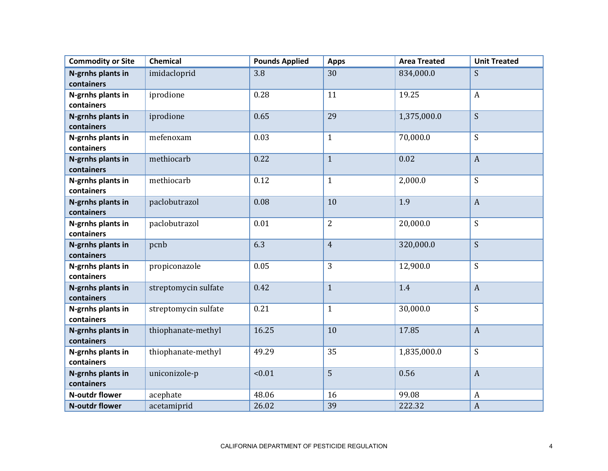| <b>Commodity or Site</b>        | <b>Chemical</b>      | <b>Pounds Applied</b> | <b>Apps</b>    | <b>Area Treated</b> | <b>Unit Treated</b> |
|---------------------------------|----------------------|-----------------------|----------------|---------------------|---------------------|
| N-grnhs plants in<br>containers | imidacloprid         | 3.8                   | 30             | 834,000.0           | S                   |
| N-grnhs plants in<br>containers | iprodione            | 0.28                  | 11             | 19.25               | $\boldsymbol{A}$    |
| N-grnhs plants in<br>containers | iprodione            | 0.65                  | 29             | 1,375,000.0         | S                   |
| N-grnhs plants in<br>containers | mefenoxam            | 0.03                  | $\mathbf{1}$   | 70,000.0            | S                   |
| N-grnhs plants in<br>containers | methiocarb           | 0.22                  | $\mathbf{1}$   | 0.02                | $\overline{A}$      |
| N-grnhs plants in<br>containers | methiocarb           | 0.12                  | $\mathbf{1}$   | 2,000.0             | S                   |
| N-grnhs plants in<br>containers | paclobutrazol        | 0.08                  | 10             | 1.9                 | $\overline{A}$      |
| N-grnhs plants in<br>containers | paclobutrazol        | 0.01                  | $\overline{2}$ | 20,000.0            | S                   |
| N-grnhs plants in<br>containers | pcnb                 | 6.3                   | $\overline{4}$ | 320,000.0           | S                   |
| N-grnhs plants in<br>containers | propiconazole        | 0.05                  | 3              | 12,900.0            | S                   |
| N-grnhs plants in<br>containers | streptomycin sulfate | 0.42                  | $\mathbf{1}$   | 1.4                 | $\mathbf{A}$        |
| N-grnhs plants in<br>containers | streptomycin sulfate | 0.21                  | $\mathbf{1}$   | 30,000.0            | S                   |
| N-grnhs plants in<br>containers | thiophanate-methyl   | 16.25                 | 10             | 17.85               | $\mathbf{A}$        |
| N-grnhs plants in<br>containers | thiophanate-methyl   | 49.29                 | 35             | 1,835,000.0         | S                   |
| N-grnhs plants in<br>containers | uniconizole-p        | < 0.01                | 5              | 0.56                | $\overline{A}$      |
| <b>N-outdr flower</b>           | acephate             | 48.06                 | 16             | 99.08               | $\boldsymbol{A}$    |
| <b>N-outdr flower</b>           | acetamiprid          | 26.02                 | 39             | 222.32              | $\overline{A}$      |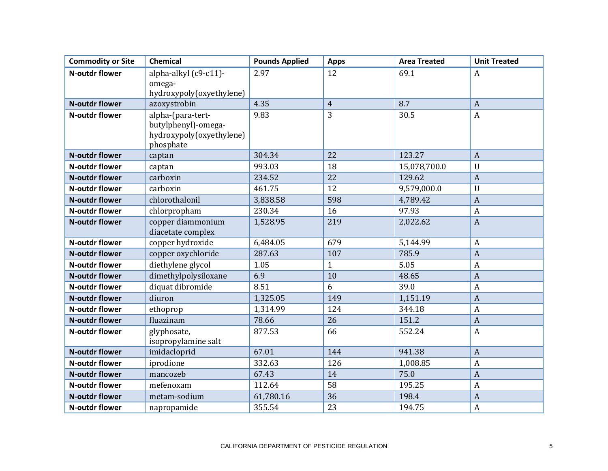| <b>Commodity or Site</b> | <b>Chemical</b>                          | <b>Pounds Applied</b> | <b>Apps</b>     | <b>Area Treated</b> | <b>Unit Treated</b> |
|--------------------------|------------------------------------------|-----------------------|-----------------|---------------------|---------------------|
| <b>N-outdr flower</b>    | alpha-alkyl (c9-c11)-                    | 2.97                  | 12              | 69.1                | $\boldsymbol{A}$    |
|                          | omega-                                   |                       |                 |                     |                     |
| <b>N-outdr flower</b>    | hydroxypoly(oxyethylene)<br>azoxystrobin | 4.35                  | $\overline{4}$  | 8.7                 | $\overline{A}$      |
|                          |                                          |                       |                 |                     |                     |
| <b>N-outdr flower</b>    | alpha-(para-tert-<br>butylphenyl)-omega- | 9.83                  | 3               | 30.5                | $\boldsymbol{A}$    |
|                          | hydroxypoly(oxyethylene)                 |                       |                 |                     |                     |
|                          | phosphate                                |                       |                 |                     |                     |
| <b>N-outdr flower</b>    | captan                                   | 304.34                | 22              | 123.27              | $\overline{A}$      |
| N-outdr flower           | captan                                   | 993.03                | 18              | 15,078,700.0        | $\mathbf U$         |
| <b>N-outdr flower</b>    | carboxin                                 | 234.52                | 22              | 129.62              | $\overline{A}$      |
| <b>N-outdr flower</b>    | carboxin                                 | 461.75                | $\overline{12}$ | 9,579,000.0         | $\mathbf U$         |
| <b>N-outdr flower</b>    | chlorothalonil                           | 3,838.58              | 598             | 4,789.42            | $\overline{A}$      |
| <b>N-outdr flower</b>    | chlorpropham                             | 230.34                | 16              | 97.93               | $\overline{A}$      |
| <b>N-outdr flower</b>    | copper diammonium                        | 1,528.95              | 219             | 2,022.62            | $\overline{A}$      |
|                          | diacetate complex                        |                       |                 |                     |                     |
| <b>N-outdr flower</b>    | copper hydroxide                         | 6,484.05              | 679             | 5,144.99            | $\overline{A}$      |
| <b>N-outdr flower</b>    | copper oxychloride                       | 287.63                | 107             | 785.9               | $\overline{A}$      |
| <b>N-outdr flower</b>    | diethylene glycol                        | 1.05                  | $\mathbf{1}$    | 5.05                | $\overline{A}$      |
| <b>N-outdr flower</b>    | dimethylpolysiloxane                     | 6.9                   | 10              | 48.65               | $\overline{A}$      |
| <b>N-outdr flower</b>    | diquat dibromide                         | 8.51                  | 6               | 39.0                | $\overline{A}$      |
| <b>N-outdr flower</b>    | diuron                                   | 1,325.05              | 149             | 1,151.19            | $\overline{A}$      |
| <b>N-outdr flower</b>    | ethoprop                                 | 1,314.99              | 124             | 344.18              | $\overline{A}$      |
| <b>N-outdr flower</b>    | fluazinam                                | 78.66                 | 26              | 151.2               | $\overline{A}$      |
| N-outdr flower           | glyphosate,                              | 877.53                | 66              | 552.24              | $\overline{A}$      |
|                          | isopropylamine salt                      |                       |                 |                     |                     |
| <b>N-outdr flower</b>    | imidacloprid                             | 67.01                 | 144             | 941.38              | $\overline{A}$      |
| <b>N-outdr flower</b>    | iprodione                                | 332.63                | 126             | 1,008.85            | $\mathbf{A}$        |
| <b>N-outdr flower</b>    | mancozeb                                 | 67.43                 | 14              | 75.0                | $\overline{A}$      |
| N-outdr flower           | mefenoxam                                | 112.64                | 58              | 195.25              | $\overline{A}$      |
| <b>N-outdr flower</b>    | metam-sodium                             | 61,780.16             | 36              | 198.4               | $\overline{A}$      |
| N-outdr flower           | napropamide                              | 355.54                | 23              | 194.75              | $\boldsymbol{A}$    |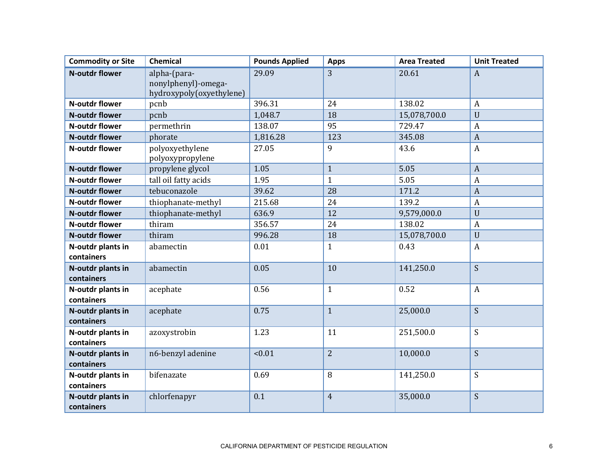| <b>Commodity or Site</b>        | <b>Chemical</b>                                                 | <b>Pounds Applied</b> | <b>Apps</b>    | <b>Area Treated</b> | <b>Unit Treated</b> |
|---------------------------------|-----------------------------------------------------------------|-----------------------|----------------|---------------------|---------------------|
| <b>N-outdr flower</b>           | alpha-(para-<br>nonylphenyl)-omega-<br>hydroxypoly(oxyethylene) | 29.09                 | 3              | 20.61               | $\boldsymbol{A}$    |
| <b>N-outdr flower</b>           | pcnb                                                            | 396.31                | 24             | 138.02              | $\mathbf{A}$        |
| <b>N-outdr flower</b>           | pcnb                                                            | 1,048.7               | 18             | 15,078,700.0        | $\overline{U}$      |
| <b>N-outdr flower</b>           | permethrin                                                      | 138.07                | 95             | 729.47              | $\overline{A}$      |
| <b>N-outdr flower</b>           | phorate                                                         | 1,816.28              | 123            | 345.08              | $\overline{A}$      |
| <b>N-outdr flower</b>           | polyoxyethylene<br>polyoxypropylene                             | 27.05                 | 9              | 43.6                | $\boldsymbol{A}$    |
| <b>N-outdr flower</b>           | propylene glycol                                                | 1.05                  | $\mathbf{1}$   | 5.05                | $\overline{A}$      |
| <b>N-outdr flower</b>           | tall oil fatty acids                                            | 1.95                  | $\mathbf{1}$   | 5.05                | $\overline{A}$      |
| <b>N-outdr flower</b>           | tebuconazole                                                    | 39.62                 | 28             | 171.2               | $\overline{A}$      |
| <b>N-outdr flower</b>           | thiophanate-methyl                                              | 215.68                | 24             | 139.2               | $\overline{A}$      |
| <b>N-outdr flower</b>           | thiophanate-methyl                                              | 636.9                 | 12             | 9,579,000.0         | $\overline{U}$      |
| <b>N-outdr flower</b>           | thiram                                                          | 356.57                | 24             | 138.02              | $\overline{A}$      |
| <b>N-outdr flower</b>           | thiram                                                          | 996.28                | 18             | 15,078,700.0        | $\overline{U}$      |
| N-outdr plants in<br>containers | abamectin                                                       | 0.01                  | $\mathbf{1}$   | 0.43                | $\boldsymbol{A}$    |
| N-outdr plants in<br>containers | abamectin                                                       | 0.05                  | 10             | 141,250.0           | S                   |
| N-outdr plants in<br>containers | acephate                                                        | 0.56                  | $\mathbf{1}$   | 0.52                | $\boldsymbol{A}$    |
| N-outdr plants in<br>containers | acephate                                                        | 0.75                  | $\mathbf{1}$   | 25,000.0            | S                   |
| N-outdr plants in<br>containers | azoxystrobin                                                    | 1.23                  | 11             | 251,500.0           | S                   |
| N-outdr plants in<br>containers | n6-benzyl adenine                                               | < 0.01                | $\overline{2}$ | 10,000.0            | S                   |
| N-outdr plants in<br>containers | bifenazate                                                      | 0.69                  | 8              | 141,250.0           | $\overline{S}$      |
| N-outdr plants in<br>containers | chlorfenapyr                                                    | 0.1                   | $\overline{4}$ | 35,000.0            | S                   |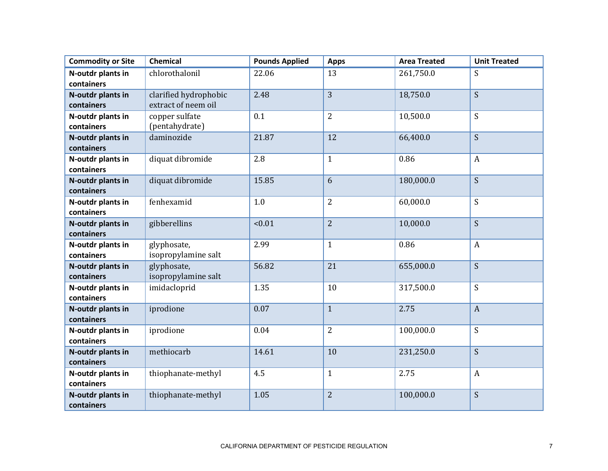| <b>Commodity or Site</b>        | <b>Chemical</b>                              | <b>Pounds Applied</b> | <b>Apps</b>    | <b>Area Treated</b> | <b>Unit Treated</b> |
|---------------------------------|----------------------------------------------|-----------------------|----------------|---------------------|---------------------|
| N-outdr plants in<br>containers | chlorothalonil                               | 22.06                 | 13             | 261,750.0           | S                   |
| N-outdr plants in<br>containers | clarified hydrophobic<br>extract of neem oil | 2.48                  | 3              | 18,750.0            | S                   |
| N-outdr plants in<br>containers | copper sulfate<br>(pentahydrate)             | 0.1                   | $\overline{2}$ | 10,500.0            | S                   |
| N-outdr plants in<br>containers | daminozide                                   | 21.87                 | 12             | 66,400.0            | S                   |
| N-outdr plants in<br>containers | diquat dibromide                             | 2.8                   | $\mathbf{1}$   | 0.86                | $\boldsymbol{A}$    |
| N-outdr plants in<br>containers | diquat dibromide                             | 15.85                 | 6              | 180,000.0           | S                   |
| N-outdr plants in<br>containers | fenhexamid                                   | 1.0                   | $\overline{2}$ | 60,000.0            | S                   |
| N-outdr plants in<br>containers | gibberellins                                 | < 0.01                | $\overline{2}$ | 10,000.0            | S                   |
| N-outdr plants in<br>containers | glyphosate,<br>isopropylamine salt           | 2.99                  | $\mathbf{1}$   | 0.86                | $\boldsymbol{A}$    |
| N-outdr plants in<br>containers | glyphosate,<br>isopropylamine salt           | 56.82                 | 21             | 655,000.0           | S                   |
| N-outdr plants in<br>containers | imidacloprid                                 | 1.35                  | 10             | 317,500.0           | S                   |
| N-outdr plants in<br>containers | iprodione                                    | 0.07                  | $\mathbf{1}$   | 2.75                | $\mathbf{A}$        |
| N-outdr plants in<br>containers | iprodione                                    | 0.04                  | $\overline{2}$ | 100,000.0           | S                   |
| N-outdr plants in<br>containers | methiocarb                                   | 14.61                 | 10             | 231,250.0           | S                   |
| N-outdr plants in<br>containers | thiophanate-methyl                           | 4.5                   | $\mathbf{1}$   | 2.75                | $\boldsymbol{A}$    |
| N-outdr plants in<br>containers | thiophanate-methyl                           | 1.05                  | $\overline{2}$ | 100,000.0           | S                   |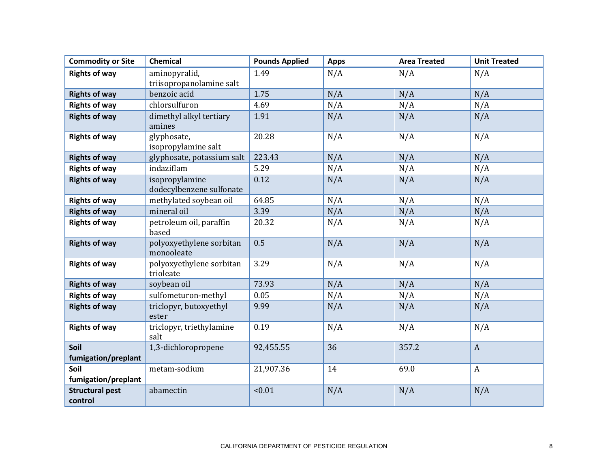| <b>Commodity or Site</b>          | <b>Chemical</b>                            | <b>Pounds Applied</b> | <b>Apps</b> | <b>Area Treated</b> | <b>Unit Treated</b> |
|-----------------------------------|--------------------------------------------|-----------------------|-------------|---------------------|---------------------|
| <b>Rights of way</b>              | aminopyralid,                              | 1.49                  | N/A         | N/A                 | N/A                 |
|                                   | triisopropanolamine salt                   |                       |             |                     |                     |
| <b>Rights of way</b>              | benzoic acid                               | 1.75                  | N/A         | N/A                 | N/A                 |
| <b>Rights of way</b>              | chlorsulfuron                              | 4.69                  | N/A         | N/A                 | N/A                 |
| <b>Rights of way</b>              | dimethyl alkyl tertiary<br>amines          | 1.91                  | N/A         | N/A                 | N/A                 |
| <b>Rights of way</b>              | glyphosate,<br>isopropylamine salt         | 20.28                 | N/A         | N/A                 | N/A                 |
| <b>Rights of way</b>              | glyphosate, potassium salt                 | 223.43                | N/A         | N/A                 | N/A                 |
| <b>Rights of way</b>              | indaziflam                                 | 5.29                  | N/A         | N/A                 | N/A                 |
| <b>Rights of way</b>              | isopropylamine<br>dodecylbenzene sulfonate | 0.12                  | N/A         | N/A                 | N/A                 |
| <b>Rights of way</b>              | methylated soybean oil                     | 64.85                 | N/A         | N/A                 | N/A                 |
| <b>Rights of way</b>              | mineral oil                                | 3.39                  | N/A         | N/A                 | N/A                 |
| <b>Rights of way</b>              | petroleum oil, paraffin<br>based           | 20.32                 | N/A         | N/A                 | N/A                 |
| <b>Rights of way</b>              | polyoxyethylene sorbitan<br>monooleate     | 0.5                   | N/A         | N/A                 | N/A                 |
| <b>Rights of way</b>              | polyoxyethylene sorbitan<br>trioleate      | 3.29                  | N/A         | N/A                 | N/A                 |
| <b>Rights of way</b>              | soybean oil                                | 73.93                 | N/A         | N/A                 | N/A                 |
| <b>Rights of way</b>              | sulfometuron-methyl                        | 0.05                  | N/A         | N/A                 | N/A                 |
| <b>Rights of way</b>              | triclopyr, butoxyethyl<br>ester            | 9.99                  | N/A         | N/A                 | N/A                 |
| <b>Rights of way</b>              | triclopyr, triethylamine<br>salt           | 0.19                  | N/A         | N/A                 | N/A                 |
| Soil                              | 1,3-dichloropropene                        | 92,455.55             | 36          | 357.2               | $\boldsymbol{A}$    |
| fumigation/preplant               |                                            |                       |             |                     |                     |
| Soil                              | metam-sodium                               | 21,907.36             | 14          | 69.0                | $\boldsymbol{A}$    |
| fumigation/preplant               |                                            |                       |             |                     |                     |
| <b>Structural pest</b><br>control | abamectin                                  | < 0.01                | N/A         | N/A                 | N/A                 |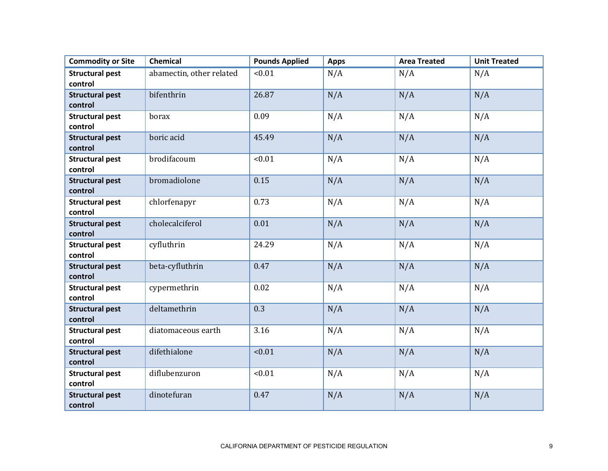| <b>Commodity or Site</b> | <b>Chemical</b>          | <b>Pounds Applied</b> | <b>Apps</b> | <b>Area Treated</b> | <b>Unit Treated</b> |
|--------------------------|--------------------------|-----------------------|-------------|---------------------|---------------------|
| <b>Structural pest</b>   | abamectin, other related | < 0.01                | N/A         | N/A                 | N/A                 |
| control                  |                          |                       |             |                     |                     |
| <b>Structural pest</b>   | bifenthrin               | 26.87                 | N/A         | N/A                 | N/A                 |
| control                  |                          |                       |             |                     |                     |
| <b>Structural pest</b>   | borax                    | 0.09                  | N/A         | N/A                 | N/A                 |
| control                  |                          |                       |             |                     |                     |
| <b>Structural pest</b>   | boric acid               | 45.49                 | N/A         | N/A                 | N/A                 |
| control                  |                          |                       |             |                     |                     |
| <b>Structural pest</b>   | brodifacoum              | < 0.01                | N/A         | N/A                 | N/A                 |
| control                  |                          |                       |             |                     |                     |
| <b>Structural pest</b>   | bromadiolone             | 0.15                  | N/A         | N/A                 | N/A                 |
| control                  |                          |                       |             |                     |                     |
| <b>Structural pest</b>   | chlorfenapyr             | 0.73                  | N/A         | N/A                 | N/A                 |
| control                  |                          |                       |             |                     |                     |
| <b>Structural pest</b>   | cholecalciferol          | 0.01                  | N/A         | N/A                 | N/A                 |
| control                  |                          |                       |             |                     |                     |
| <b>Structural pest</b>   | cyfluthrin               | 24.29                 | N/A         | N/A                 | N/A                 |
| control                  |                          |                       |             |                     |                     |
| <b>Structural pest</b>   | beta-cyfluthrin          | 0.47                  | N/A         | N/A                 | N/A                 |
| control                  |                          |                       |             |                     |                     |
| <b>Structural pest</b>   | cypermethrin             | 0.02                  | N/A         | N/A                 | N/A                 |
| control                  |                          |                       |             |                     |                     |
| <b>Structural pest</b>   | deltamethrin             | 0.3                   | N/A         | N/A                 | N/A                 |
| control                  |                          |                       |             |                     |                     |
| <b>Structural pest</b>   | diatomaceous earth       | 3.16                  | N/A         | N/A                 | N/A                 |
| control                  |                          |                       |             |                     |                     |
| <b>Structural pest</b>   | difethialone             | < 0.01                | N/A         | N/A                 | N/A                 |
| control                  |                          |                       |             |                     |                     |
| <b>Structural pest</b>   | diflubenzuron            | < 0.01                | N/A         | N/A                 | N/A                 |
| control                  |                          |                       |             |                     |                     |
| <b>Structural pest</b>   | dinotefuran              | 0.47                  | N/A         | N/A                 | N/A                 |
| control                  |                          |                       |             |                     |                     |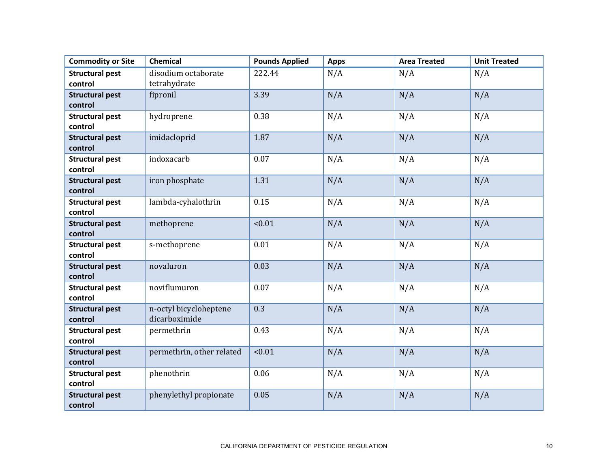| <b>Commodity or Site</b>          | <b>Chemical</b>           | <b>Pounds Applied</b> | <b>Apps</b> | <b>Area Treated</b> | <b>Unit Treated</b> |
|-----------------------------------|---------------------------|-----------------------|-------------|---------------------|---------------------|
| <b>Structural pest</b>            | disodium octaborate       | 222.44                | N/A         | N/A                 | N/A                 |
| control                           | tetrahydrate              |                       |             |                     |                     |
| <b>Structural pest</b>            | fipronil                  | 3.39                  | N/A         | N/A                 | N/A                 |
| control                           |                           |                       |             |                     |                     |
| <b>Structural pest</b><br>control | hydroprene                | 0.38                  | N/A         | N/A                 | N/A                 |
|                                   |                           | 1.87                  |             | N/A                 | N/A                 |
| <b>Structural pest</b><br>control | imidacloprid              |                       | N/A         |                     |                     |
| <b>Structural pest</b>            | indoxacarb                | 0.07                  | N/A         | N/A                 | N/A                 |
| control                           |                           |                       |             |                     |                     |
| <b>Structural pest</b>            | iron phosphate            | 1.31                  | N/A         | N/A                 | N/A                 |
| control                           |                           |                       |             |                     |                     |
| <b>Structural pest</b>            | lambda-cyhalothrin        | 0.15                  | N/A         | N/A                 | N/A                 |
| control                           |                           |                       |             |                     |                     |
| <b>Structural pest</b>            | methoprene                | < 0.01                | N/A         | N/A                 | N/A                 |
| control                           |                           |                       |             |                     |                     |
| <b>Structural pest</b>            | s-methoprene              | 0.01                  | N/A         | N/A                 | N/A                 |
| control                           |                           |                       |             |                     |                     |
| <b>Structural pest</b>            | novaluron                 | 0.03                  | N/A         | N/A                 | N/A                 |
| control                           |                           |                       |             |                     |                     |
| <b>Structural pest</b>            | noviflumuron              | 0.07                  | N/A         | N/A                 | N/A                 |
| control                           |                           |                       |             |                     |                     |
| <b>Structural pest</b>            | n-octyl bicycloheptene    | 0.3                   | N/A         | N/A                 | N/A                 |
| control                           | dicarboximide             |                       |             |                     |                     |
| <b>Structural pest</b>            | permethrin                | 0.43                  | N/A         | N/A                 | N/A                 |
| control                           |                           |                       |             |                     |                     |
| <b>Structural pest</b>            | permethrin, other related | < 0.01                | N/A         | N/A                 | N/A                 |
| control                           |                           |                       |             |                     |                     |
| <b>Structural pest</b>            | phenothrin                | 0.06                  | N/A         | N/A                 | N/A                 |
| control                           |                           |                       |             |                     |                     |
| <b>Structural pest</b>            | phenylethyl propionate    | 0.05                  | N/A         | N/A                 | N/A                 |
| control                           |                           |                       |             |                     |                     |